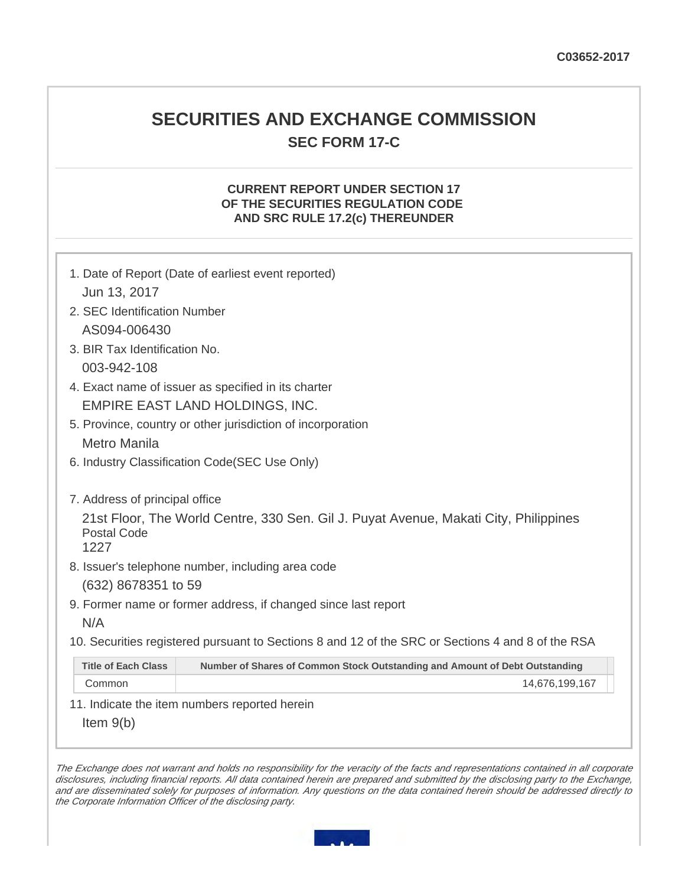# **SECURITIES AND EXCHANGE COMMISSION SEC FORM 17-C**

# **CURRENT REPORT UNDER SECTION 17 OF THE SECURITIES REGULATION CODE AND SRC RULE 17.2(c) THEREUNDER**

| 1. Date of Report (Date of earliest event reported)                                                                |                                                                             |  |  |
|--------------------------------------------------------------------------------------------------------------------|-----------------------------------------------------------------------------|--|--|
| Jun 13, 2017                                                                                                       |                                                                             |  |  |
| 2. SEC Identification Number                                                                                       |                                                                             |  |  |
| AS094-006430                                                                                                       |                                                                             |  |  |
| 3. BIR Tax Identification No.                                                                                      |                                                                             |  |  |
| 003-942-108                                                                                                        |                                                                             |  |  |
| 4. Exact name of issuer as specified in its charter                                                                |                                                                             |  |  |
| EMPIRE EAST LAND HOLDINGS, INC.                                                                                    |                                                                             |  |  |
|                                                                                                                    | 5. Province, country or other jurisdiction of incorporation                 |  |  |
| <b>Metro Manila</b>                                                                                                |                                                                             |  |  |
|                                                                                                                    | 6. Industry Classification Code(SEC Use Only)                               |  |  |
|                                                                                                                    |                                                                             |  |  |
| 7. Address of principal office                                                                                     |                                                                             |  |  |
| 21st Floor, The World Centre, 330 Sen. Gil J. Puyat Avenue, Makati City, Philippines<br><b>Postal Code</b><br>1227 |                                                                             |  |  |
|                                                                                                                    | 8. Issuer's telephone number, including area code                           |  |  |
| (632) 8678351 to 59                                                                                                |                                                                             |  |  |
| 9. Former name or former address, if changed since last report                                                     |                                                                             |  |  |
| N/A                                                                                                                |                                                                             |  |  |
| 10. Securities registered pursuant to Sections 8 and 12 of the SRC or Sections 4 and 8 of the RSA                  |                                                                             |  |  |
| <b>Title of Each Class</b>                                                                                         | Number of Shares of Common Stock Outstanding and Amount of Debt Outstanding |  |  |
| Common                                                                                                             | 14,676,199,167                                                              |  |  |
|                                                                                                                    |                                                                             |  |  |

11. Indicate the item numbers reported herein

Item 9(b)

The Exchange does not warrant and holds no responsibility for the veracity of the facts and representations contained in all corporate disclosures, including financial reports. All data contained herein are prepared and submitted by the disclosing party to the Exchange, and are disseminated solely for purposes of information. Any questions on the data contained herein should be addressed directly to the Corporate Information Officer of the disclosing party.

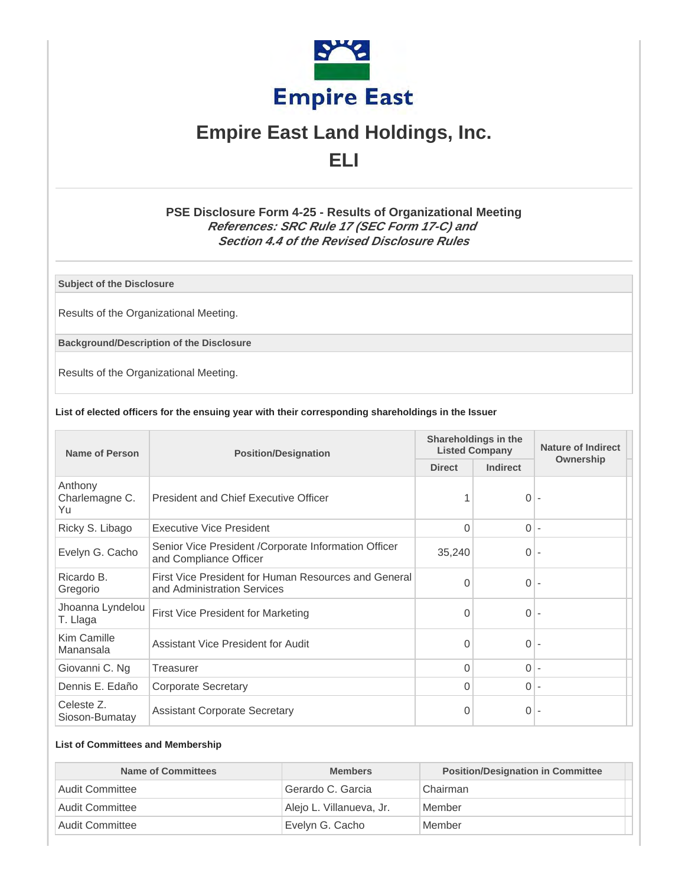

# **Empire East Land Holdings, Inc. ELI**

# **PSE Disclosure Form 4-25 - Results of Organizational Meeting References: SRC Rule 17 (SEC Form 17-C) and Section 4.4 of the Revised Disclosure Rules**

**Subject of the Disclosure**

Results of the Organizational Meeting.

**Background/Description of the Disclosure**

Results of the Organizational Meeting.

#### **List of elected officers for the ensuing year with their corresponding shareholdings in the Issuer**

| <b>Name of Person</b>           | <b>Position/Designation</b>                                                         | Shareholdings in the<br><b>Listed Company</b> |          | <b>Nature of Indirect</b> |  |
|---------------------------------|-------------------------------------------------------------------------------------|-----------------------------------------------|----------|---------------------------|--|
|                                 |                                                                                     | <b>Direct</b>                                 | Indirect | Ownership                 |  |
| Anthony<br>Charlemagne C.<br>Yu | President and Chief Executive Officer                                               |                                               | $0 -$    |                           |  |
| Ricky S. Libago                 | Executive Vice President                                                            | $\Omega$                                      | $0 -$    |                           |  |
| Evelyn G. Cacho                 | Senior Vice President / Corporate Information Officer<br>and Compliance Officer     | 35,240                                        | $0 -$    |                           |  |
| Ricardo B.<br>Gregorio          | First Vice President for Human Resources and General<br>and Administration Services | $\Omega$                                      | $0 -$    |                           |  |
| Jhoanna Lyndelou<br>T. Llaga    | First Vice President for Marketing                                                  | 0                                             | $0 -$    |                           |  |
| Kim Camille<br>Manansala        | Assistant Vice President for Audit                                                  |                                               | $0 -$    |                           |  |
| Giovanni C. Ng                  | Treasurer                                                                           |                                               | $0 -$    |                           |  |
| Dennis E. Edaño                 | <b>Corporate Secretary</b>                                                          | $\Omega$                                      | $0 -$    |                           |  |
| Celeste Z.<br>Sioson-Bumatay    | <b>Assistant Corporate Secretary</b>                                                | 0                                             | $0 -$    |                           |  |

# **List of Committees and Membership**

| <b>Name of Committees</b>    | <b>Members</b>           | <b>Position/Designation in Committee</b> |
|------------------------------|--------------------------|------------------------------------------|
| Audit Committee              | Gerardo C. Garcia        | Chairman                                 |
| Audit Committee              | Alejo L. Villanueva, Jr. | Member                                   |
| <sup>1</sup> Audit Committee | Evelyn G. Cacho          | Member                                   |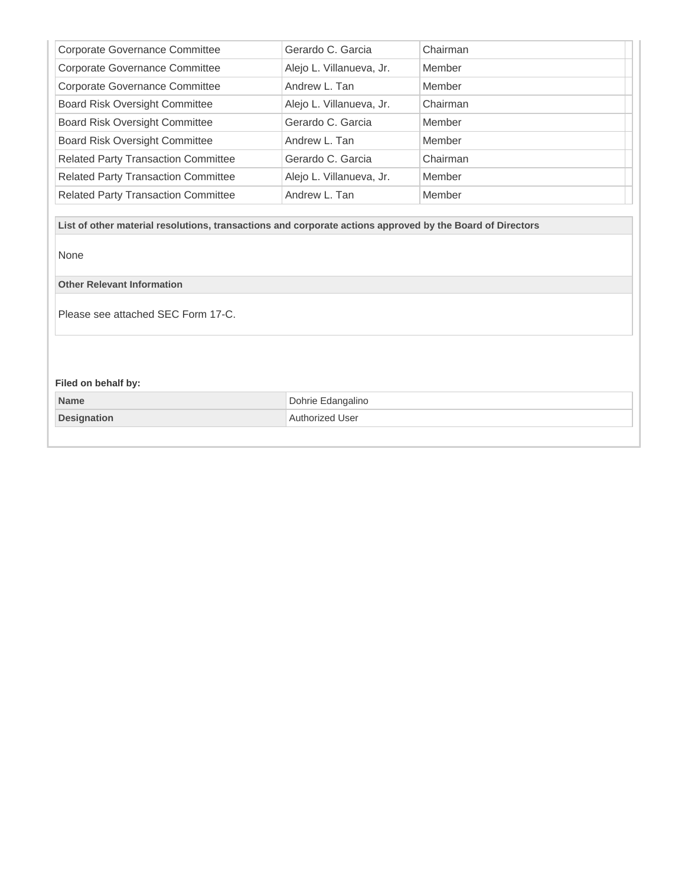| <b>Corporate Governance Committee</b>      | Gerardo C. Garcia        | Chairman |
|--------------------------------------------|--------------------------|----------|
| <b>Corporate Governance Committee</b>      | Alejo L. Villanueva, Jr. | Member   |
| <b>Corporate Governance Committee</b>      | Andrew L. Tan            | Member   |
| <b>Board Risk Oversight Committee</b>      | Alejo L. Villanueva, Jr. | Chairman |
| <b>Board Risk Oversight Committee</b>      | Gerardo C. Garcia        | Member   |
| <b>Board Risk Oversight Committee</b>      | Andrew L. Tan            | Member   |
| <b>Related Party Transaction Committee</b> | Gerardo C. Garcia        | Chairman |
| <b>Related Party Transaction Committee</b> | Alejo L. Villanueva, Jr. | Member   |
| <b>Related Party Transaction Committee</b> | Andrew L. Tan            | Member   |

**List of other material resolutions, transactions and corporate actions approved by the Board of Directors**

None

**Other Relevant Information**

Please see attached SEC Form 17-C.

# **Filed on behalf by:**

| <b>Name</b>        | Dohrie Edangalino |
|--------------------|-------------------|
| <b>Designation</b> | Authorized User   |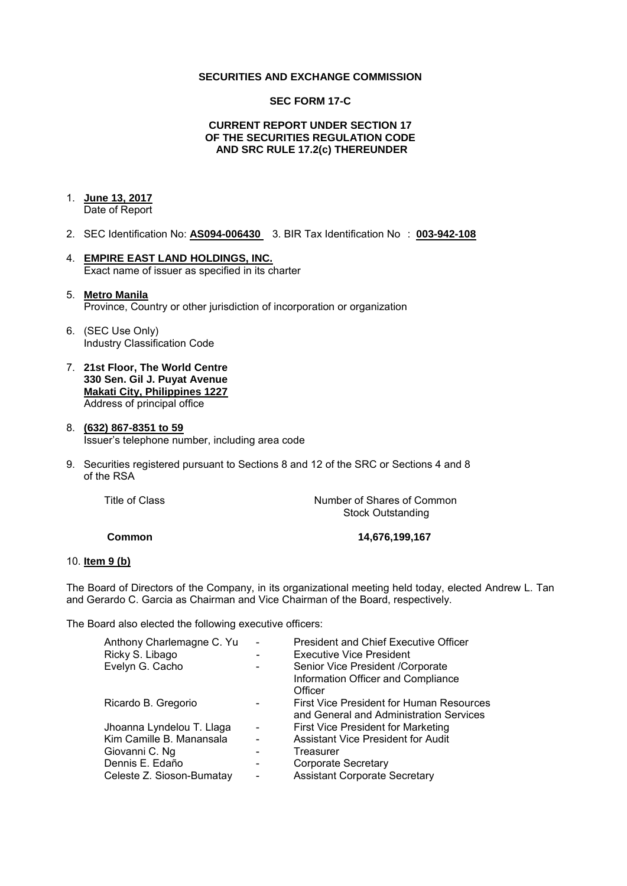### **SECURITIES AND EXCHANGE COMMISSION**

## **SEC FORM 17-C**

## **CURRENT REPORT UNDER SECTION 17 OF THE SECURITIES REGULATION CODE AND SRC RULE 17.2(c) THEREUNDER**

#### 1. **June 13, 2017**  Date of Report

- 2. SEC Identification No: **AS094-006430** 3. BIR Tax Identification No : **003-942-108**
- 4. **EMPIRE EAST LAND HOLDINGS, INC.**  Exact name of issuer as specified in its charter
- 5. **Metro Manila**  Province, Country or other jurisdiction of incorporation or organization
- 6. (SEC Use Only) Industry Classification Code
- 7. **21st Floor, The World Centre 330 Sen. Gil J. Puyat Avenue Makati City, Philippines 1227** Address of principal office

#### 8. **(632) 867-8351 to 59**  Issuer's telephone number, including area code

9. Securities registered pursuant to Sections 8 and 12 of the SRC or Sections 4 and 8 of the RSA

Title of Class *Number of Shares of Common* Stock Outstanding

**Common 14,676,199,167** 

#### 10. **Item 9 (b)**

The Board of Directors of the Company, in its organizational meeting held today, elected Andrew L. Tan and Gerardo C. Garcia as Chairman and Vice Chairman of the Board, respectively.

The Board also elected the following executive officers:

| <b>President and Chief Executive Officer</b> |
|----------------------------------------------|
| <b>Executive Vice President</b>              |
| Senior Vice President /Corporate             |
| Information Officer and Compliance           |
| Officer                                      |
| First Vice President for Human Resources     |
| and General and Administration Services      |
| First Vice President for Marketing           |
| <b>Assistant Vice President for Audit</b>    |
| Treasurer                                    |
| <b>Corporate Secretary</b>                   |
| <b>Assistant Corporate Secretary</b>         |
|                                              |